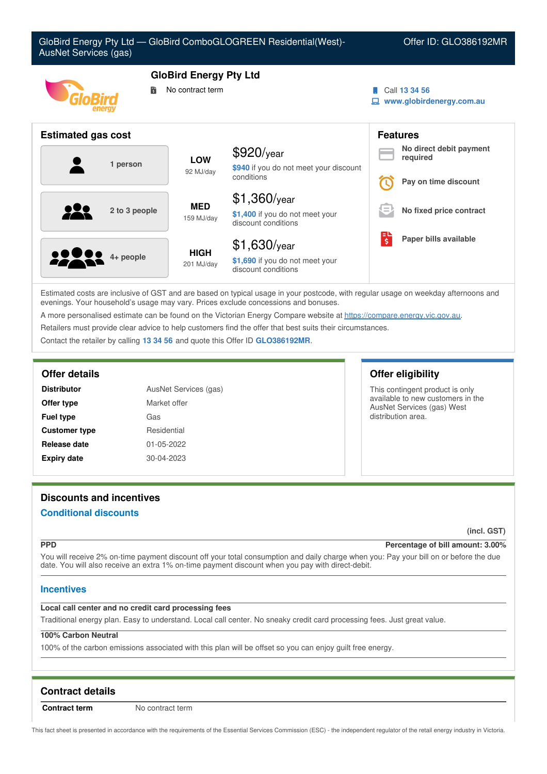| GloBird Energy Pty Ltd - GloBird ComboGLOGREEN Residential(West)-<br>AusNet Services (gas) |                           | Offer ID: GLO386192MR                                                    |                               |                                           |
|--------------------------------------------------------------------------------------------|---------------------------|--------------------------------------------------------------------------|-------------------------------|-------------------------------------------|
| <b>GloBird Energy Pty Ltd</b><br>No contract term<br>詩                                     |                           |                                                                          |                               | Call 13 34 56<br>www.globirdenergy.com.au |
| <b>Estimated gas cost</b>                                                                  |                           | <b>Features</b>                                                          |                               |                                           |
|                                                                                            | <b>LOW</b>                | $$920$ /year                                                             |                               | No direct debit payment<br>required       |
| 1 person                                                                                   | 92 MJ/day                 | \$940 if you do not meet your discount<br>conditions                     |                               | Pay on time discount                      |
|                                                                                            | <b>MED</b><br>159 MJ/day  | $$1,360$ /year                                                           | $=$                           |                                           |
| 2 to 3 people                                                                              |                           | \$1,400 if you do not meet your<br>discount conditions                   |                               | No fixed price contract                   |
| 4+ people                                                                                  | <b>HIGH</b><br>201 MJ/day | $$1,630$ /year<br>\$1,690 if you do not meet your<br>discount conditions | $\overline{\boldsymbol{\xi}}$ | Paper bills available                     |

Estimated costs are inclusive of GST and are based on typical usage in your postcode, with regular usage on weekday afternoons and evenings. Your household's usage may vary. Prices exclude concessions and bonuses.

A more personalised estimate can be found on the Victorian Energy Compare website at <https://compare.energy.vic.gov.au>.

Retailers must provide clear advice to help customers find the offer that best suits their circumstances.

Contact the retailer by calling **13 34 56** and quote this Offer ID **GLO386192MR**.

| <b>Distributor</b>   | AusNet Services (gas) |
|----------------------|-----------------------|
| Offer type           | Market offer          |
| <b>Fuel type</b>     | Gas                   |
| <b>Customer type</b> | Residential           |
| Release date         | 01-05-2022            |
| <b>Expiry date</b>   | 30-04-2023            |

# **Offer details Offer eligibility**

This contingent product is only available to new customers in the AusNet Services (gas) West distribution area.

# **Discounts and incentives**

### **Conditional discounts**

**(incl. GST)**

### **PPD Percentage of bill amount: 3.00%**

You will receive 2% on-time payment discount off your total consumption and daily charge when you: Pay your bill on or before the due date. You will also receive an extra 1% on-time payment discount when you pay with direct-debit.

### **Incentives**

### **Local call center and no credit card processing fees**

Traditional energy plan. Easy to understand. Local call center. No sneaky credit card processing fees. Just great value.

### **100% Carbon Neutral**

100% of the carbon emissions associated with this plan will be offset so you can enjoy guilt free energy.

# **Contract details**

**Contract term** No contract term

This fact sheet is presented in accordance with the requirements of the Essential Services Commission (ESC) - the independent regulator of the retail energy industry in Victoria.